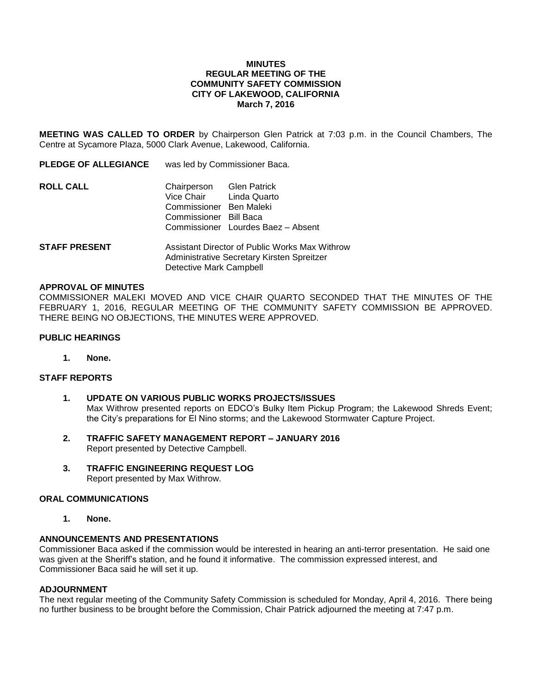# **MINUTES REGULAR MEETING OF THE COMMUNITY SAFETY COMMISSION CITY OF LAKEWOOD, CALIFORNIA March 7, 2016**

**MEETING WAS CALLED TO ORDER** by Chairperson Glen Patrick at 7:03 p.m. in the Council Chambers, The Centre at Sycamore Plaza, 5000 Clark Avenue, Lakewood, California.

**PLEDGE OF ALLEGIANCE** was led by Commissioner Baca.

- **ROLL CALL** Chairperson Glen Patrick Vice Chair Linda Quarto Commissioner Ben Maleki Commissioner Bill Baca Commissioner Lourdes Baez – Absent
- **STAFF PRESENT** Assistant Director of Public Works Max Withrow Administrative Secretary Kirsten Spreitzer Detective Mark Campbell

## **APPROVAL OF MINUTES**

COMMISSIONER MALEKI MOVED AND VICE CHAIR QUARTO SECONDED THAT THE MINUTES OF THE FEBRUARY 1, 2016, REGULAR MEETING OF THE COMMUNITY SAFETY COMMISSION BE APPROVED. THERE BEING NO OBJECTIONS, THE MINUTES WERE APPROVED.

## **PUBLIC HEARINGS**

**1. None.**

# **STAFF REPORTS**

- **1. UPDATE ON VARIOUS PUBLIC WORKS PROJECTS/ISSUES** Max Withrow presented reports on EDCO's Bulky Item Pickup Program; the Lakewood Shreds Event; the City's preparations for El Nino storms; and the Lakewood Stormwater Capture Project.
- **2. TRAFFIC SAFETY MANAGEMENT REPORT – JANUARY 2016** Report presented by Detective Campbell.
- **3. TRAFFIC ENGINEERING REQUEST LOG** Report presented by Max Withrow.

### **ORAL COMMUNICATIONS**

**1. None.**

# **ANNOUNCEMENTS AND PRESENTATIONS**

Commissioner Baca asked if the commission would be interested in hearing an anti-terror presentation. He said one was given at the Sheriff's station, and he found it informative. The commission expressed interest, and Commissioner Baca said he will set it up.

### **ADJOURNMENT**

The next regular meeting of the Community Safety Commission is scheduled for Monday, April 4, 2016. There being no further business to be brought before the Commission, Chair Patrick adjourned the meeting at 7:47 p.m.